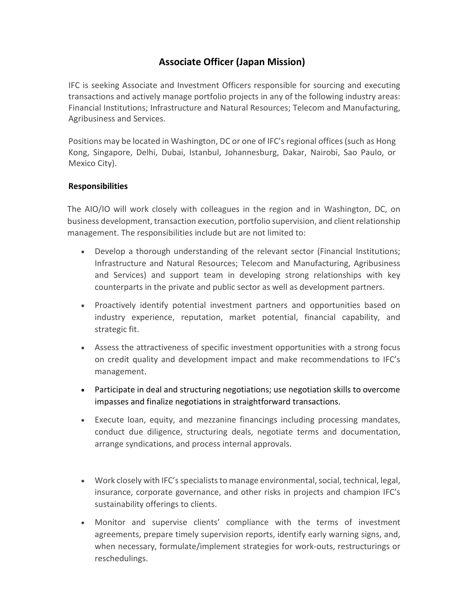## **Associate Officer (Japan Mission)**

IFC is seeking Associate and Investment Officers responsible for sourcing and executing transactions and actively manage portfolio projects in any of the following industry areas: Financial Institutions; Infrastructure and Natural Resources; Telecom and Manufacturing, Agribusiness and Services.

Positions may be located in Washington, DC or one of IFC's regional offices (such as Hong Kong, Singapore, Delhi, Dubai, Istanbul, Johannesburg, Dakar, Nairobi, Sao Paulo, or Mexico City).

## **Responsibilities**

The AIO/IO will work closely with colleagues in the region and in Washington, DC, on business development, transaction execution, portfolio supervision, and client relationship management. The responsibilities include but are not limited to:

- Develop a thorough understanding of the relevant sector (Financial Institutions; Infrastructure and Natural Resources; Telecom and Manufacturing, Agribusiness and Services) and support team in developing strong relationships with key counterparts in the private and public sector as well as development partners.
- Proactively identify potential investment partners and opportunities based on industry experience, reputation, market potential, financial capability, and strategic fit.
- Assess the attractiveness of specific investment opportunities with a strong focus on credit quality and development impact and make recommendations to IFC's management.
- Participate in deal and structuring negotiations; use negotiation skills to overcome impasses and finalize negotiations in straightforward transactions.
- Execute loan, equity, and mezzanine financings including processing mandates, conduct due diligence, structuring deals, negotiate terms and documentation, arrange syndications, and process internal approvals.
- Work closely with IFC's specialists to manage environmental, social, technical, legal, insurance, corporate governance, and other risks in projects and champion IFC's sustainability offerings to clients.
- Monitor and supervise clients' compliance with the terms of investment agreements, prepare timely supervision reports, identify early warning signs, and, when necessary, formulate/implement strategies for work-outs, restructurings or reschedulings.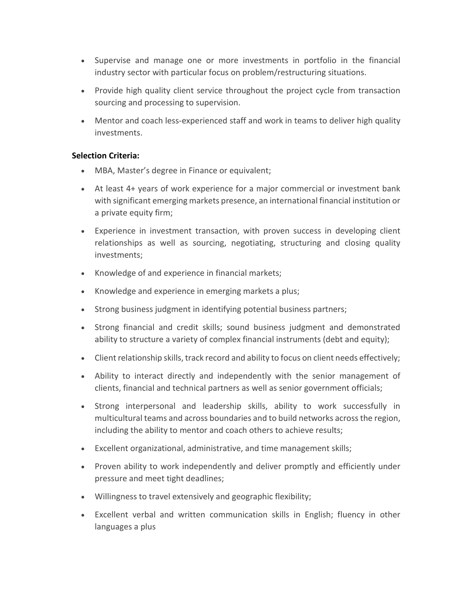- Supervise and manage one or more investments in portfolio in the financial industry sector with particular focus on problem/restructuring situations.
- Provide high quality client service throughout the project cycle from transaction sourcing and processing to supervision.
- Mentor and coach less-experienced staff and work in teams to deliver high quality investments.

## **Selection Criteria:**

- MBA, Master's degree in Finance or equivalent;
- At least 4+ years of work experience for a major commercial or investment bank with significant emerging markets presence, an international financial institution or a private equity firm;
- Experience in investment transaction, with proven success in developing client relationships as well as sourcing, negotiating, structuring and closing quality investments;
- Knowledge of and experience in financial markets;
- Knowledge and experience in emerging markets a plus;
- Strong business judgment in identifying potential business partners;
- Strong financial and credit skills; sound business judgment and demonstrated ability to structure a variety of complex financial instruments (debt and equity);
- Client relationship skills, track record and ability to focus on client needs effectively;
- Ability to interact directly and independently with the senior management of clients, financial and technical partners as well as senior government officials;
- Strong interpersonal and leadership skills, ability to work successfully in multicultural teams and across boundaries and to build networks across the region, including the ability to mentor and coach others to achieve results;
- Excellent organizational, administrative, and time management skills;
- Proven ability to work independently and deliver promptly and efficiently under pressure and meet tight deadlines;
- Willingness to travel extensively and geographic flexibility;
- Excellent verbal and written communication skills in English; fluency in other languages a plus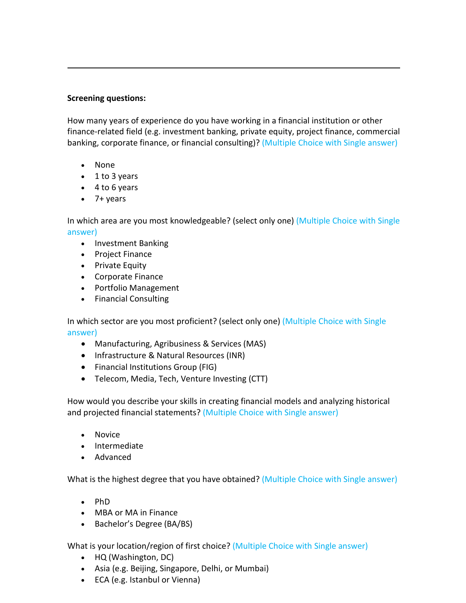## **Screening questions:**

How many years of experience do you have working in a financial institution or other finance-related field (e.g. investment banking, private equity, project finance, commercial banking, corporate finance, or financial consulting)? (Multiple Choice with Single answer)

- None
- 1 to 3 years
- 4 to 6 years
- 7+ years

In which area are you most knowledgeable? (select only one) (Multiple Choice with Single answer)

- Investment Banking
- Project Finance
- Private Equity
- Corporate Finance
- Portfolio Management
- Financial Consulting

In which sector are you most proficient? (select only one) (Multiple Choice with Single answer)

- Manufacturing, Agribusiness & Services (MAS)
- Infrastructure & Natural Resources (INR)
- Financial Institutions Group (FIG)
- Telecom, Media, Tech, Venture Investing (CTT)

How would you describe your skills in creating financial models and analyzing historical and projected financial statements? (Multiple Choice with Single answer)

- Novice
- Intermediate
- Advanced

What is the highest degree that you have obtained? (Multiple Choice with Single answer)

- PhD
- MBA or MA in Finance
- Bachelor's Degree (BA/BS)

What is your location/region of first choice? (Multiple Choice with Single answer)

- HQ (Washington, DC)
- Asia (e.g. Beijing, Singapore, Delhi, or Mumbai)
- ECA (e.g. Istanbul or Vienna)